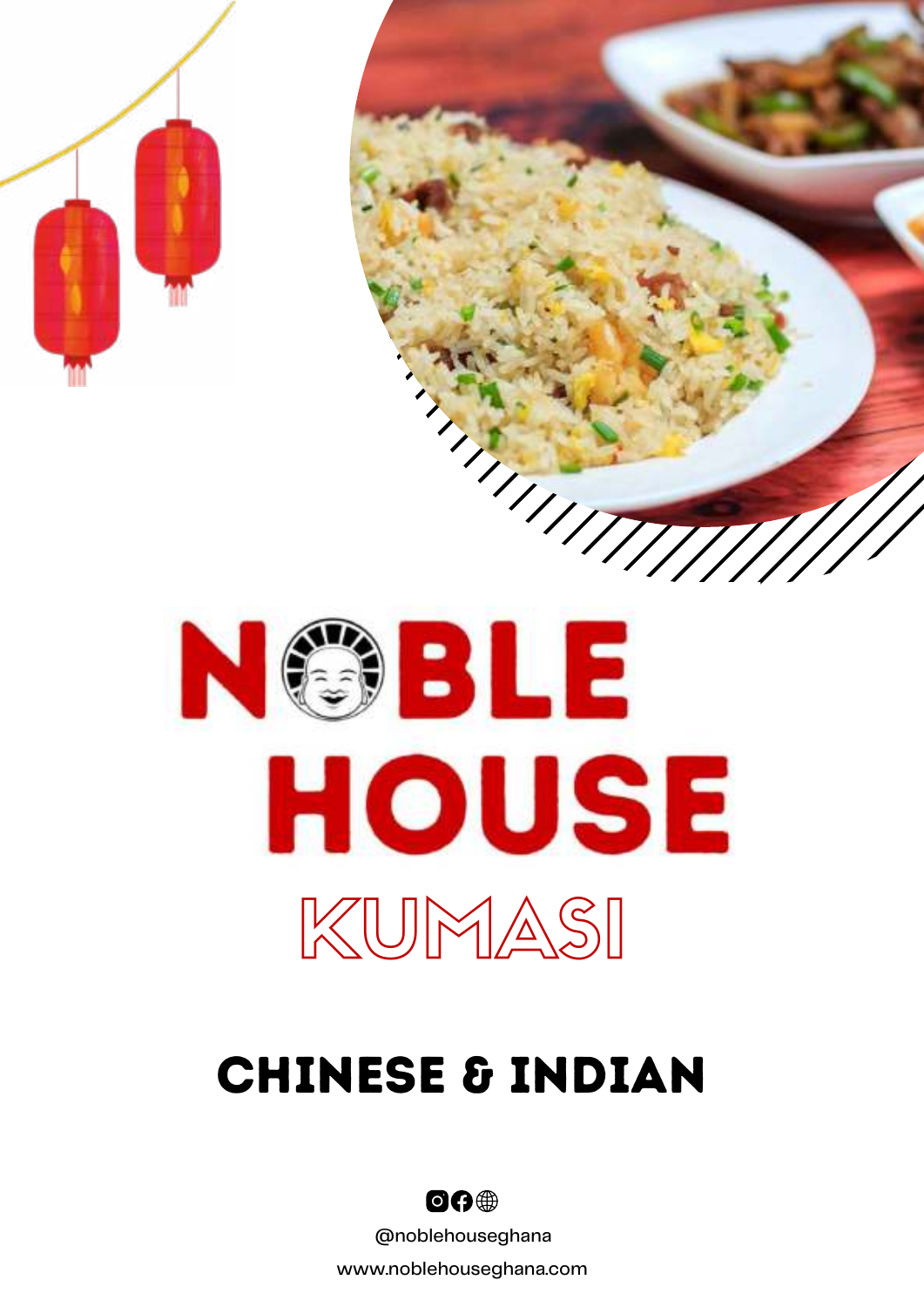



# Chinese & Indian



@noblehouseghana

www.noblehouseghana.com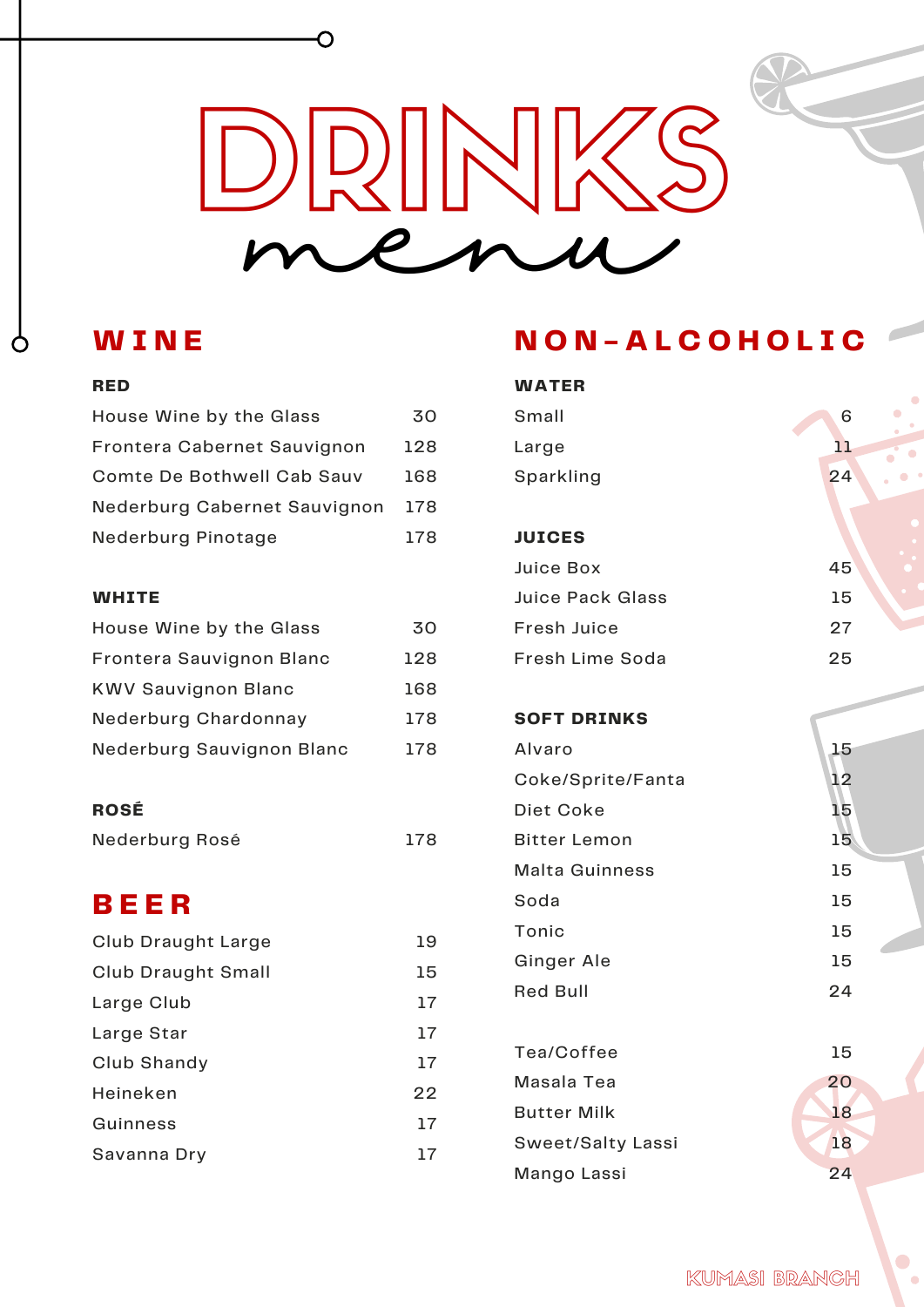# DRINKS menu

## **W I N E**

#### **RED**

 $\circ$ 

| House Wine by the Glass      | 30  |
|------------------------------|-----|
| Frontera Cabernet Sauvignon  | 128 |
| Comte De Bothwell Cab Sauv   | 168 |
| Nederburg Cabernet Sauvignon | 178 |
| Nederburg Pinotage           | 178 |

 $\overline{\mathrm{O}}$ 

#### **WHITE**

| House Wine by the Glass    | 30  |
|----------------------------|-----|
| Frontera Sauvignon Blanc   | 128 |
| <b>KWV Sauvignon Blanc</b> | 168 |
| Nederburg Chardonnay       | 178 |
| Nederburg Sauvignon Blanc  | 178 |

### **ROSÉ**

| Nederburg Rosé | 178 |  |
|----------------|-----|--|

## **B E E R**

| Club Draught Large | 19 |
|--------------------|----|
| Club Draught Small | 15 |
| Large Club         | 17 |
| Large Star         | 17 |
| Club Shandy        | 17 |
| Heineken           | 22 |
| Guinness           | 17 |
| Savanna Dry        | 17 |

# **N O N - A L C O H O L I C**

| <b>WATER</b>             |    |
|--------------------------|----|
| Small                    | 6  |
| Large                    | 11 |
| Sparkling                | 24 |
|                          |    |
| <b>JUICES</b>            |    |
| Juice Box                | 45 |
| <b>Juice Pack Glass</b>  | 15 |
| <b>Fresh Juice</b>       | 27 |
| Fresh Lime Soda          | 25 |
| <b>SOFT DRINKS</b>       |    |
| Alvaro                   | 15 |
| Coke/Sprite/Fanta        | 12 |
| Diet Coke                | 15 |
| <b>Bitter Lemon</b>      | 15 |
| <b>Malta Guinness</b>    | 15 |
| Soda                     | 15 |
| Tonic                    | 15 |
| Ginger Ale               | 15 |
| <b>Red Bull</b>          | 24 |
| Tea/Coffee               | 15 |
| Masala Tea               | 20 |
| <b>Butter Milk</b>       | 18 |
| <b>Sweet/Salty Lassi</b> | 18 |
| Mango Lassi              | 24 |

 $\bullet$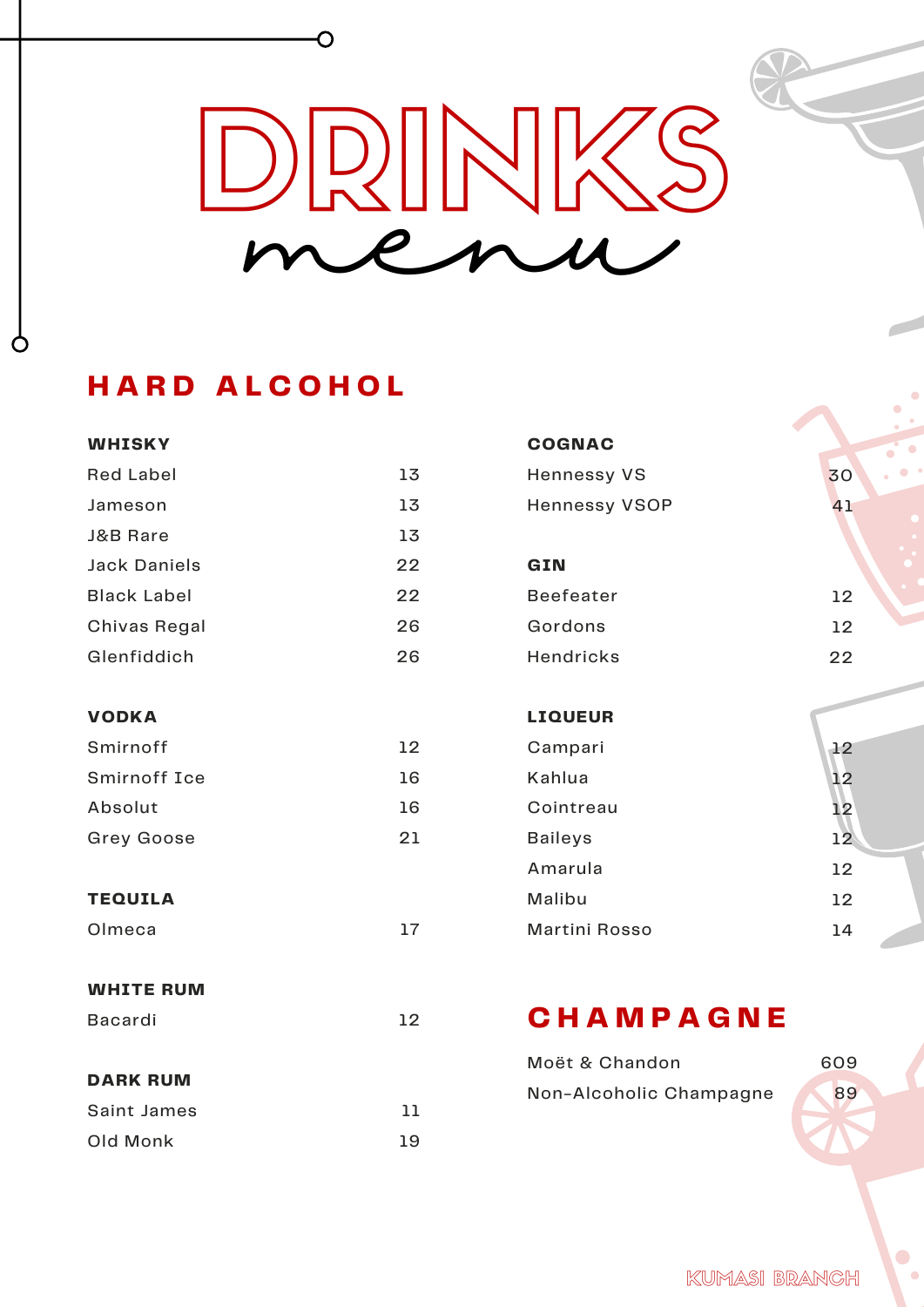# DRINKS menu

# **H A R D A L C O H O L**

Ò

O

| <b>WHISKY</b>       |    | <b>COGNAC</b>           |                 |
|---------------------|----|-------------------------|-----------------|
| <b>Red Label</b>    | 13 | <b>Hennessy VS</b>      | 30              |
| Jameson             | 13 | <b>Hennessy VSOP</b>    | 41              |
| J&B Rare            | 13 |                         |                 |
| <b>Jack Daniels</b> | 22 | GIN                     |                 |
| <b>Black Label</b>  | 22 | <b>Beefeater</b>        | 12              |
| Chivas Regal        | 26 | Gordons                 | 12              |
| Glenfiddich         | 26 | <b>Hendricks</b>        | 22              |
|                     |    |                         |                 |
| <b>VODKA</b>        |    | <b>LIQUEUR</b>          |                 |
| Smirnoff            | 12 | Campari                 | 12              |
| <b>Smirnoff Ice</b> | 16 | Kahlua                  | 12              |
| Absolut             | 16 | Cointreau               | 12              |
| <b>Grey Goose</b>   | 21 | <b>Baileys</b>          | 12 <sup>°</sup> |
|                     |    | Amarula                 | 12              |
| <b>TEQUILA</b>      |    | Malibu                  | 12              |
| Olmeca              | 17 | <b>Martini Rosso</b>    | 14              |
|                     |    |                         |                 |
| <b>WHITE RUM</b>    |    |                         |                 |
| Bacardi             | 12 | CHAMPAGNE               |                 |
|                     |    | Moët & Chandon          | 609             |
| <b>DARK RUM</b>     |    | Non-Alcoholic Champagne | 89              |
| Saint James         | 11 |                         |                 |
| Old Monk            | 19 |                         |                 |
|                     |    |                         |                 |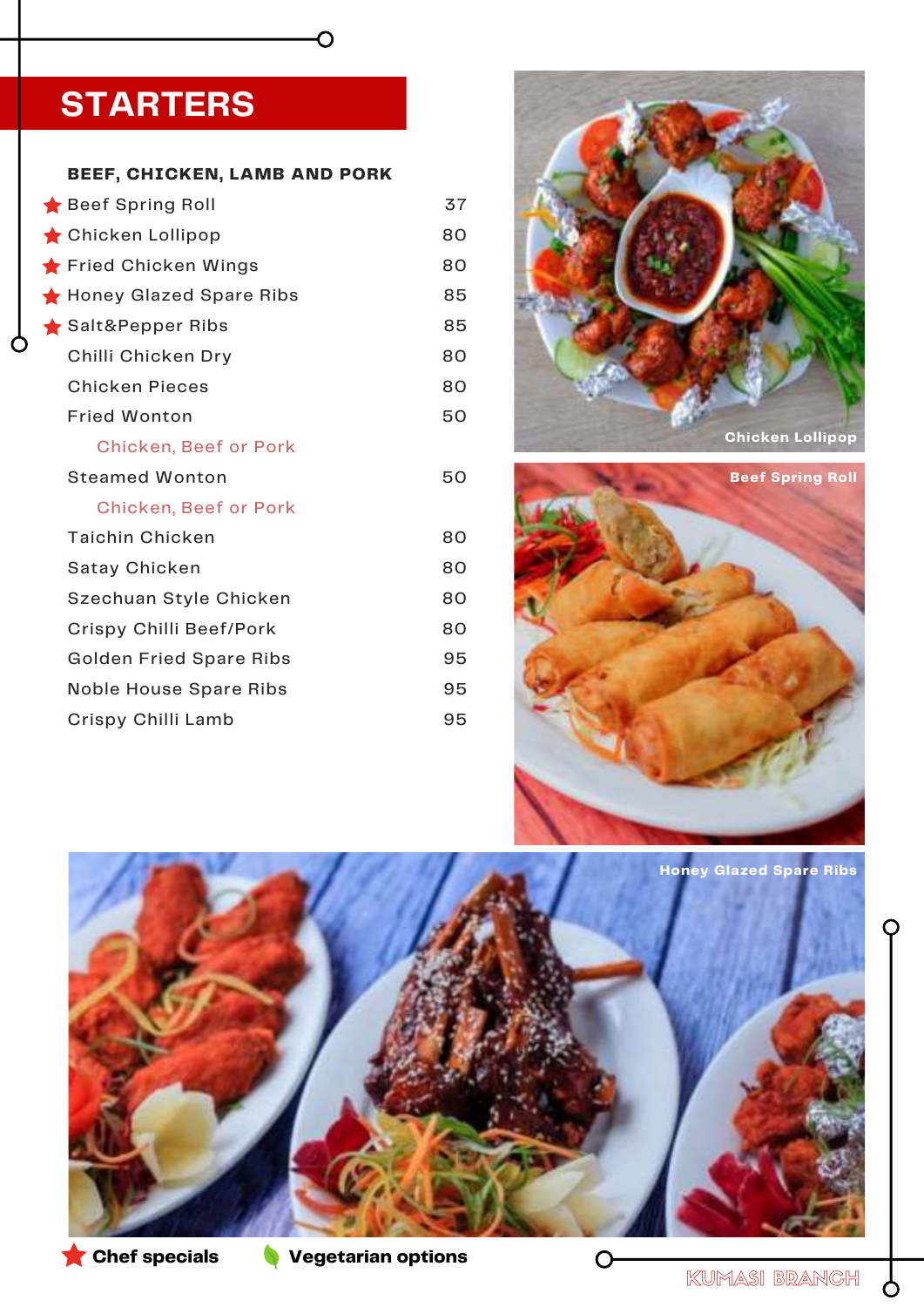# **STARTERS**

#### **BEEF, CHICKEN, LAMB AND PORK**

 $\overline{\mathsf{C}}$ 

| Beef Spring Roll               | 37 |
|--------------------------------|----|
| Chicken Lollipop               | 80 |
| Fried Chicken Wings            | 80 |
| Honey Glazed Spare Ribs        | 85 |
| Salt&Pepper Ribs               | 85 |
| Chilli Chicken Dry             | 80 |
| <b>Chicken Pieces</b>          | 80 |
| <b>Fried Wonton</b>            | 50 |
| <b>Chicken, Beef or Pork</b>   |    |
| <b>Steamed Wonton</b>          | 50 |
| <b>Chicken, Beef or Pork</b>   |    |
| <b>Taichin Chicken</b>         | 80 |
| <b>Satay Chicken</b>           | 80 |
| Szechuan Style Chicken         | 80 |
| Crispy Chilli Beef/Pork        | 80 |
| <b>Golden Fried Spare Ribs</b> | 95 |
| <b>Noble House Spare Ribs</b>  | 95 |
| Crispy Chilli Lamb             | 95 |









9

O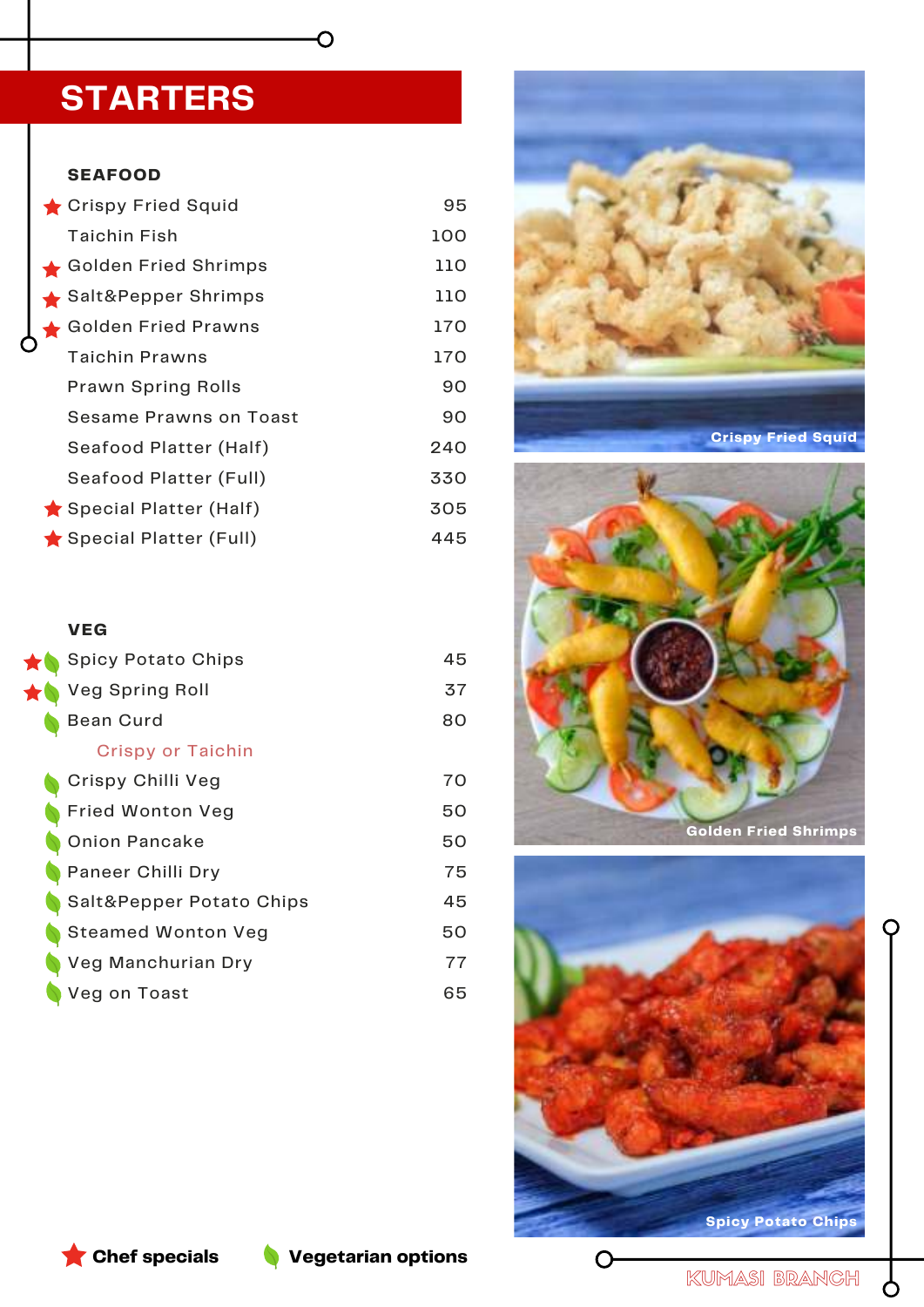# **STARTERS**

#### **SEAFOOD**

| Crispy Fried Squid        | 95  |
|---------------------------|-----|
| <b>Taichin Fish</b>       | 100 |
| Golden Fried Shrimps      | 110 |
| Salt&Pepper Shrimps       | 110 |
| Golden Fried Prawns       | 170 |
| Taichin Prawns            | 170 |
| <b>Prawn Spring Rolls</b> | 90  |
| Sesame Prawns on Toast    | 90  |
| Seafood Platter (Half)    | 240 |
| Seafood Platter (Full)    | 330 |
| Special Platter (Half)    | 305 |
| Special Platter (Full)    | 445 |

 $\overline{O}$ 

#### **VEG**

| <b>Spicy Potato Chips</b> | 45 |
|---------------------------|----|
| <b>Veg Spring Roll</b>    | 37 |
| <b>Bean Curd</b>          | 80 |
| <b>Crispy or Taichin</b>  |    |
| Crispy Chilli Veg         | 70 |
| <b>Fried Wonton Veg</b>   | 50 |
| <b>Onion Pancake</b>      | 50 |
| Paneer Chilli Dry         | 75 |
| Salt&Pepper Potato Chips  | 45 |
| <b>Steamed Wonton Veg</b> | 50 |
| Veg Manchurian Dry        | 77 |
| Veg on Toast              | 65 |





 $\bigcirc$ 

**Chef specials Vegetarian options**

KUMASI BRANCH

 $\mathcal{P}$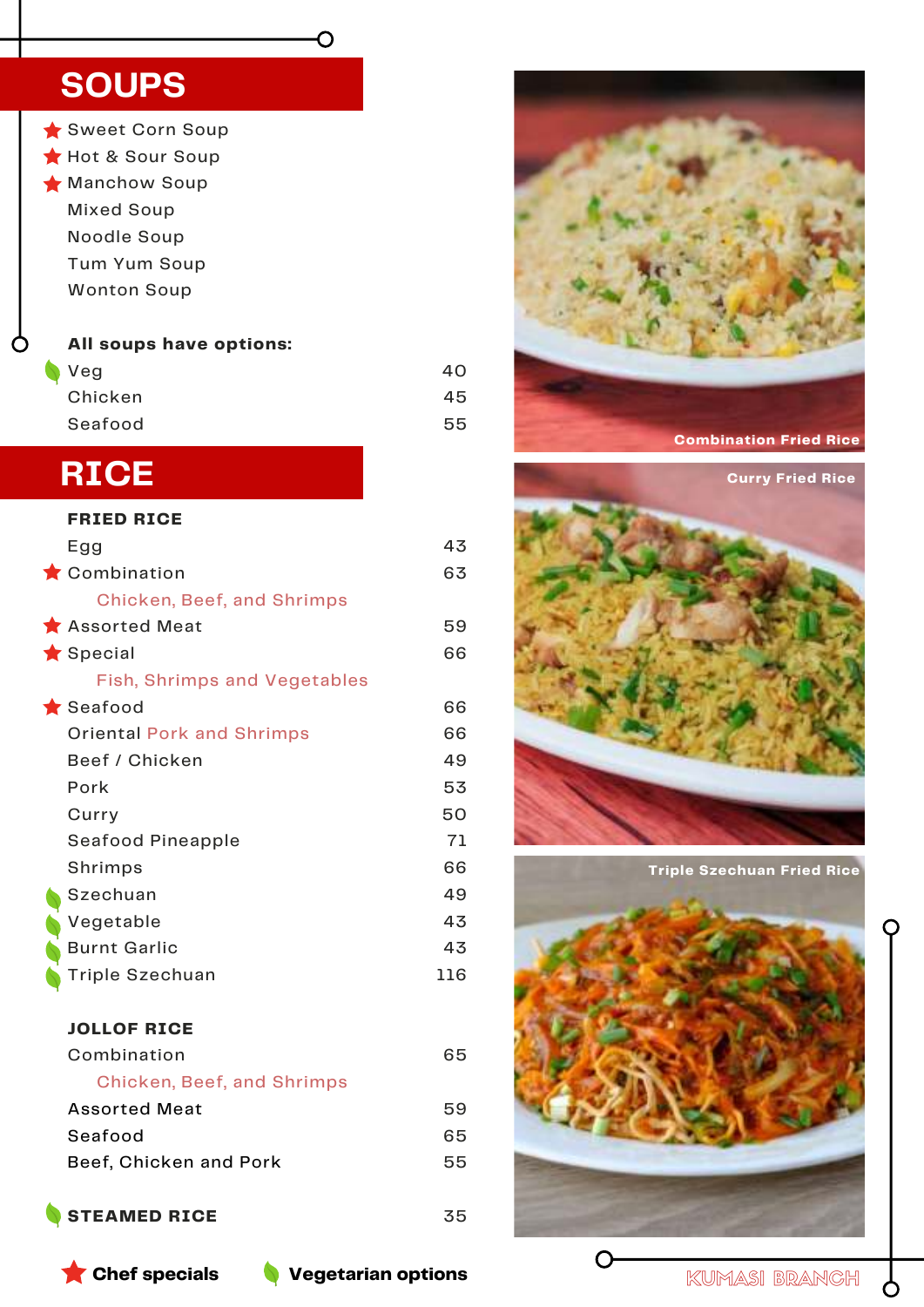# **SOUPS**

- Sweet Corn Soup Hot & Sour Soup **Manchow Soup** 
	- Mixed Soup Noodle Soup Tum Yum Soup Wonton Soup
	-

#### **All soups have options:**

| <b>Veg</b> | 40 |
|------------|----|
| Chicken    | 45 |
| Seafood    | 55 |

Ő

# **RICE**

C

| <b>FRIED RICE</b>                   |     |
|-------------------------------------|-----|
| Egg                                 | 43  |
| Combination                         | 63  |
| <b>Chicken, Beef, and Shrimps</b>   |     |
| Assorted Meat                       | 59  |
| $\bigstar$ Special                  | 66  |
| <b>Fish, Shrimps and Vegetables</b> |     |
| $\bigstar$ Seafood                  | 66  |
| <b>Oriental Pork and Shrimps</b>    | 66  |
| Beef / Chicken                      | 49  |
| Pork                                | 53  |
| Curry                               | 50  |
| Seafood Pineapple                   | 71  |
| Shrimps                             | 66  |
| Szechuan                            | 49  |
| Vegetable                           | 43  |
| <b>Burnt Garlic</b>                 | 43  |
| Triple Szechuan                     | 116 |
| <b>JOLLOF RICE</b>                  |     |
| Combination                         | 65  |

| Chicken, Beef, and Shrimps |    |
|----------------------------|----|
| Assorted Meat              | 59 |
| Seafood                    | 65 |
| Beef, Chicken and Pork     | 55 |
|                            |    |

## **STEAMED RICE**





**Triple Szechuan Fried Rice**



**Chef specials Vegetarian options**

35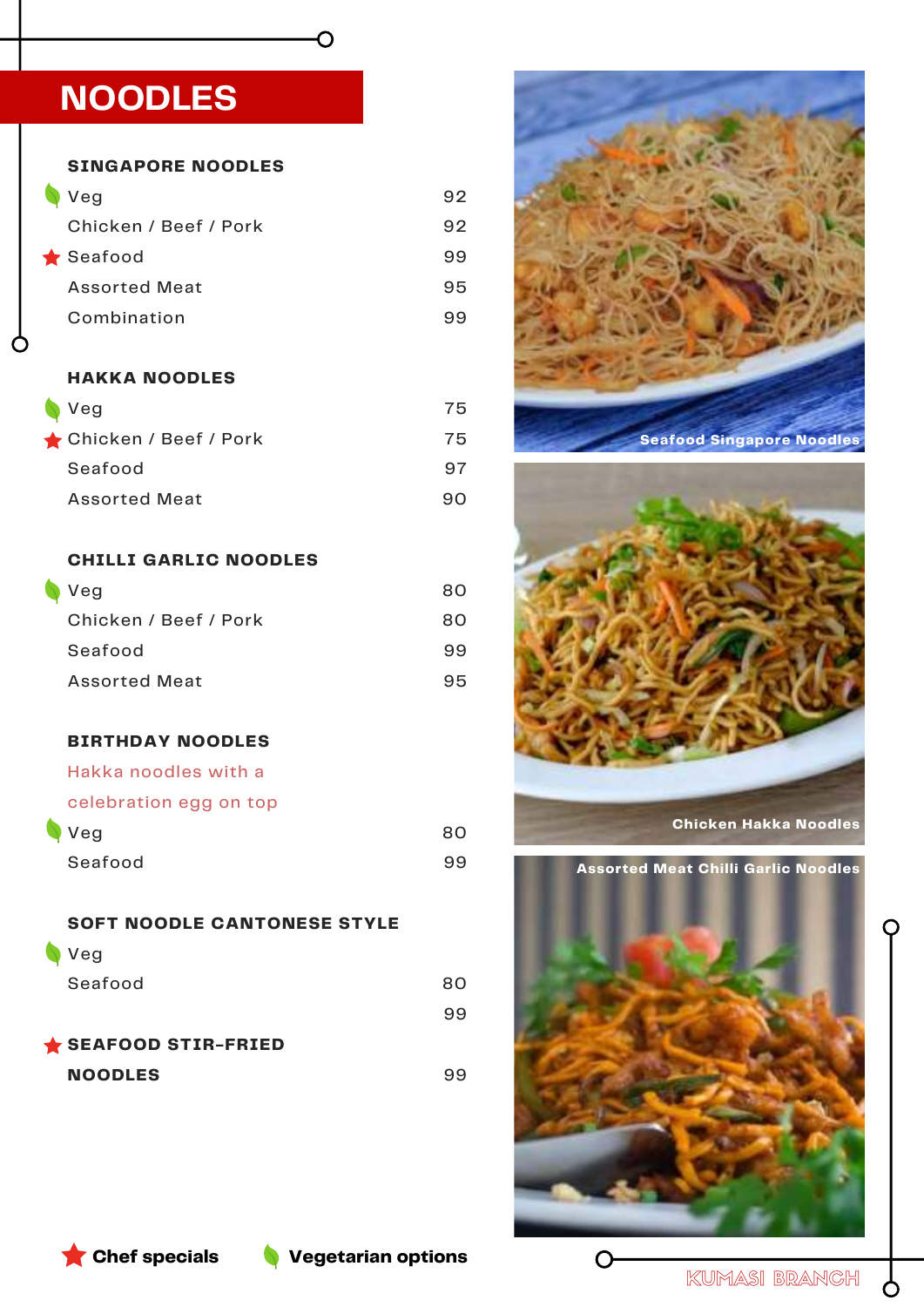# **NOODLES**

**SINGAPORE NOODLES**

| Veg                   | 92 |
|-----------------------|----|
| Chicken / Beef / Pork | 92 |
| $\bigstar$ Seafood    | 99 |
| <b>Assorted Meat</b>  | 95 |
| Combination           | 99 |

O

#### **HAKKA NOODLES**

| $\blacktriangledown$ Veg | 75 |
|--------------------------|----|
| ★ Chicken / Beef / Pork  | 75 |
| Seafood                  | 97 |
| <b>Assorted Meat</b>     | 90 |

#### **CHILLI GARLIC NOODLES**

| $\blacktriangledown$ Veg | 80. |
|--------------------------|-----|
| Chicken / Beef / Pork    | 80. |
| Seafood                  | 99  |
| <b>Assorted Meat</b>     | 95  |

#### **BIRTHDAY NOODLES**

Hakka noodles with a

#### celebration egg on top

| Veg     | 80 |
|---------|----|
| Seafood | 99 |

**SOFT NOODLE CANTONESE STYLE**  Veg

| Seafood            | 80. |
|--------------------|-----|
|                    | 99  |
| SEAFOOD STIR-FRIED |     |
| <b>NOODLES</b>     |     |





**Chicken Hakka Noodles**

**Assorted Meat Chilli Garlic Noodles**



**Chef specials Vegetarian options**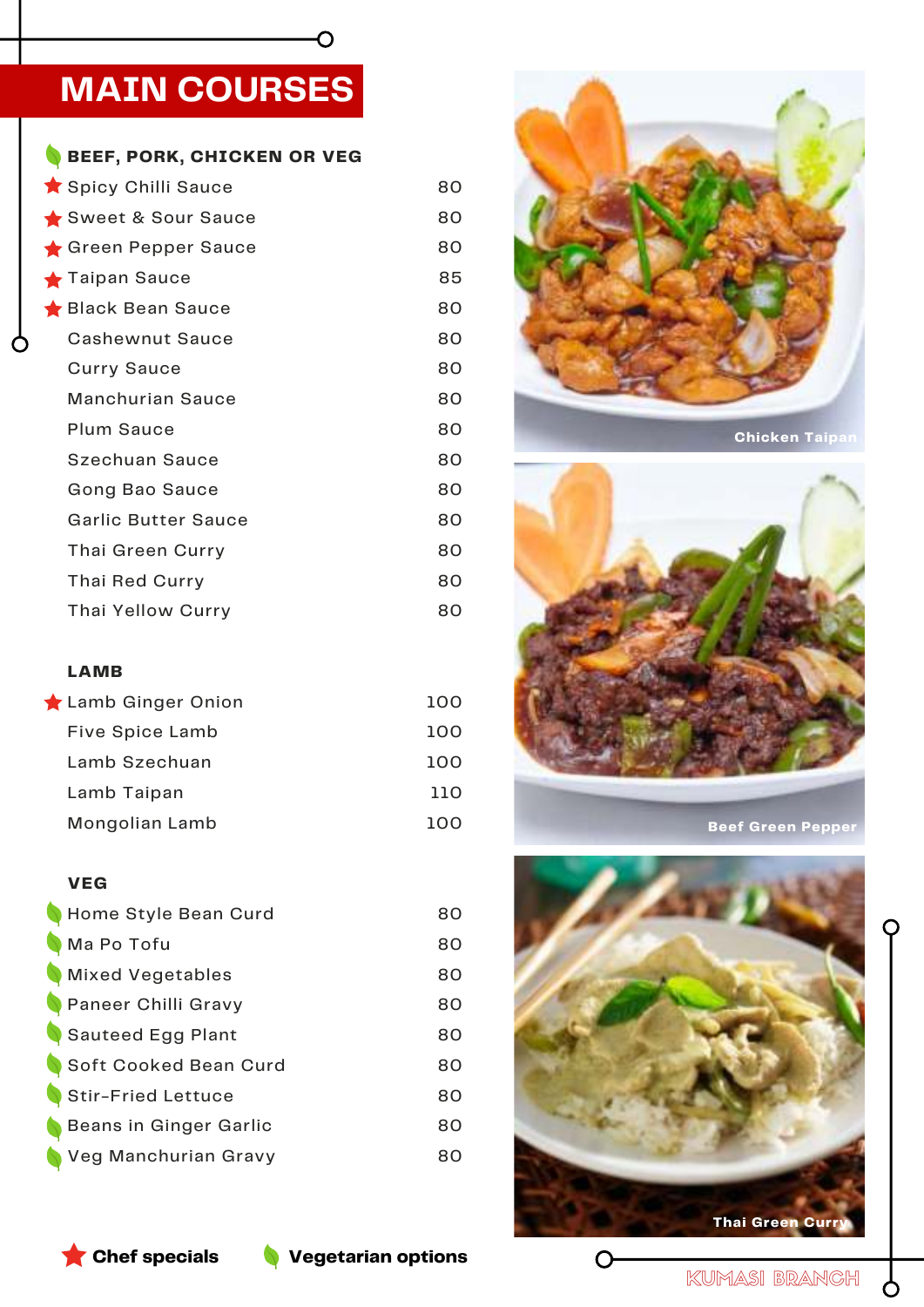# **MAIN COURSES**

 $\overline{O}$ 

| Spicy Chilli Sauce      | 80 |
|-------------------------|----|
|                         |    |
| Sweet & Sour Sauce      | 80 |
| Green Pepper Sauce      | 80 |
| Taipan Sauce            | 85 |
| Black Bean Sauce        | 80 |
| <b>Cashewnut Sauce</b>  | 80 |
| <b>Curry Sauce</b>      | 80 |
| <b>Manchurian Sauce</b> | 80 |
| <b>Plum Sauce</b>       | 80 |
| <b>Szechuan Sauce</b>   | 80 |
| Gong Bao Sauce          | 80 |
| Garlic Butter Sauce     | 80 |
| Thai Green Curry        | 80 |
| Thai Red Curry          | 80 |
| Thai Yellow Curry       | 80 |

#### **LAMB**

| Lamb Ginger Onion      | 100 |
|------------------------|-----|
| <b>Five Spice Lamb</b> | 100 |
| Lamb Szechuan          | າດດ |
| Lamb Taipan            | חוו |
| Mongolian Lamb         |     |

#### **VEG**

| Home Style Bean Curd    | 80 |
|-------------------------|----|
| Ma Po Tofu              | 80 |
| <b>Mixed Vegetables</b> | 80 |
| Paneer Chilli Gravy     | 80 |
| Sauteed Egg Plant       | 80 |
| Soft Cooked Bean Curd   | 80 |
| Stir-Fried Lettuce      | 80 |
| Beans in Ginger Garlic  | 80 |
| Veg Manchurian Gravy    | 80 |
|                         |    |



**Chicken Taipan**



**Beef Green Pepper**



C



 $\mathcal{P}$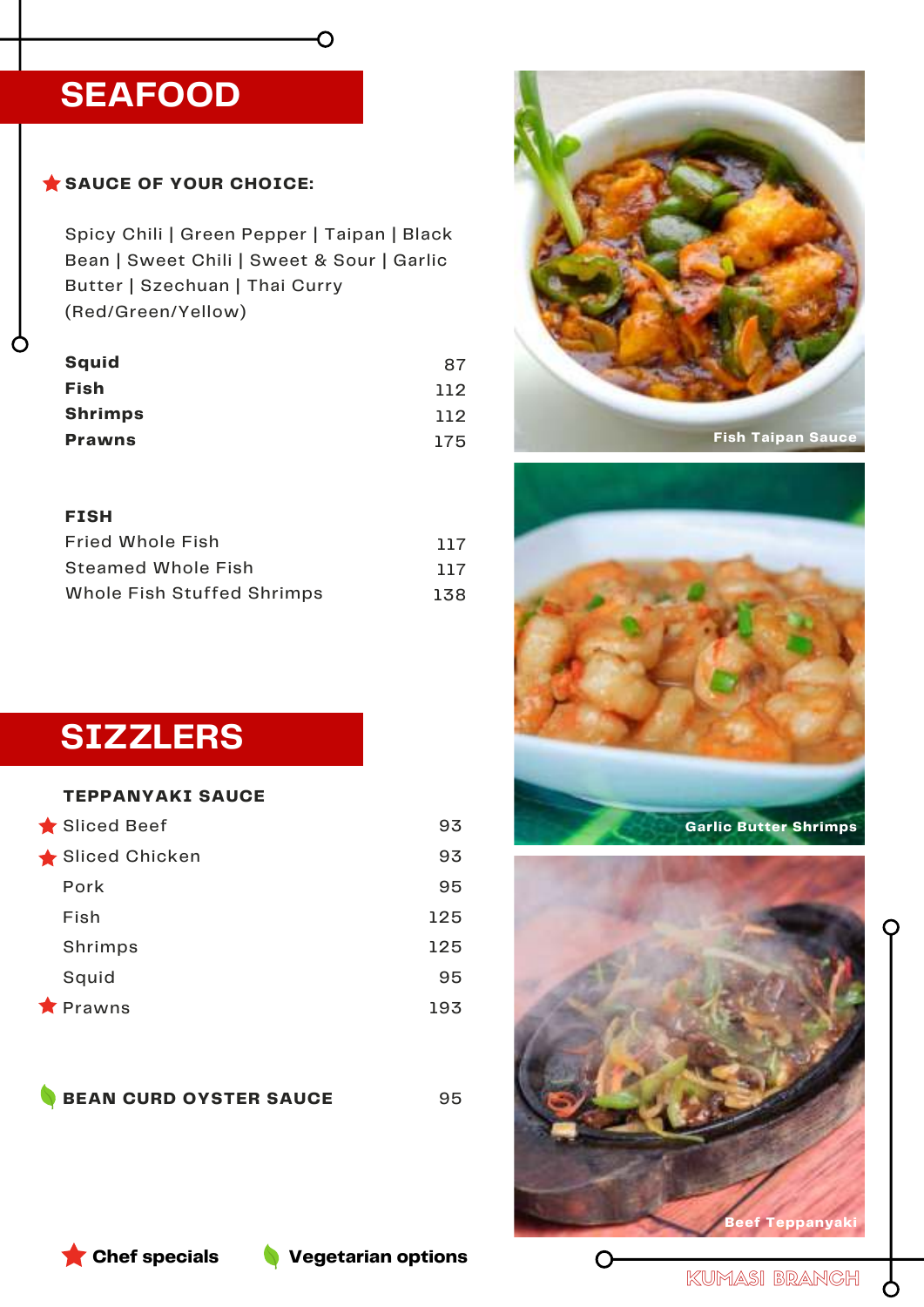# **SEAFOOD**

## SAUCE OF YOUR CHOICE:

Spicy Chili | Green Pepper | Taipan | Black Bean | Sweet Chili | Sweet & Sour | Garlic Butter | Szechuan | Thai Curry (Red/Green/Yellow)

O

| <b>Squid</b>   | 87  |
|----------------|-----|
| Fish           | 112 |
| <b>Shrimps</b> | 112 |
| <b>Prawns</b>  | 175 |

#### **FISH**

| <b>Fried Whole Fish</b>    | 117 |
|----------------------------|-----|
| Steamed Whole Fish         | 117 |
| Whole Fish Stuffed Shrimps | 138 |

**SIZZLERS**

#### **TEPPANYAKI SAUCE**

| Sliced Beef       | 93  |
|-------------------|-----|
| Sliced Chicken    | 93  |
| Pork              | 95  |
| Fish              | 125 |
| Shrimps           | 125 |
| Squid             | 95  |
| $\bigstar$ Prawns | 193 |

**BEAN CURD OYSTER SAUCE**

95









**Chef specials Vegetarian options**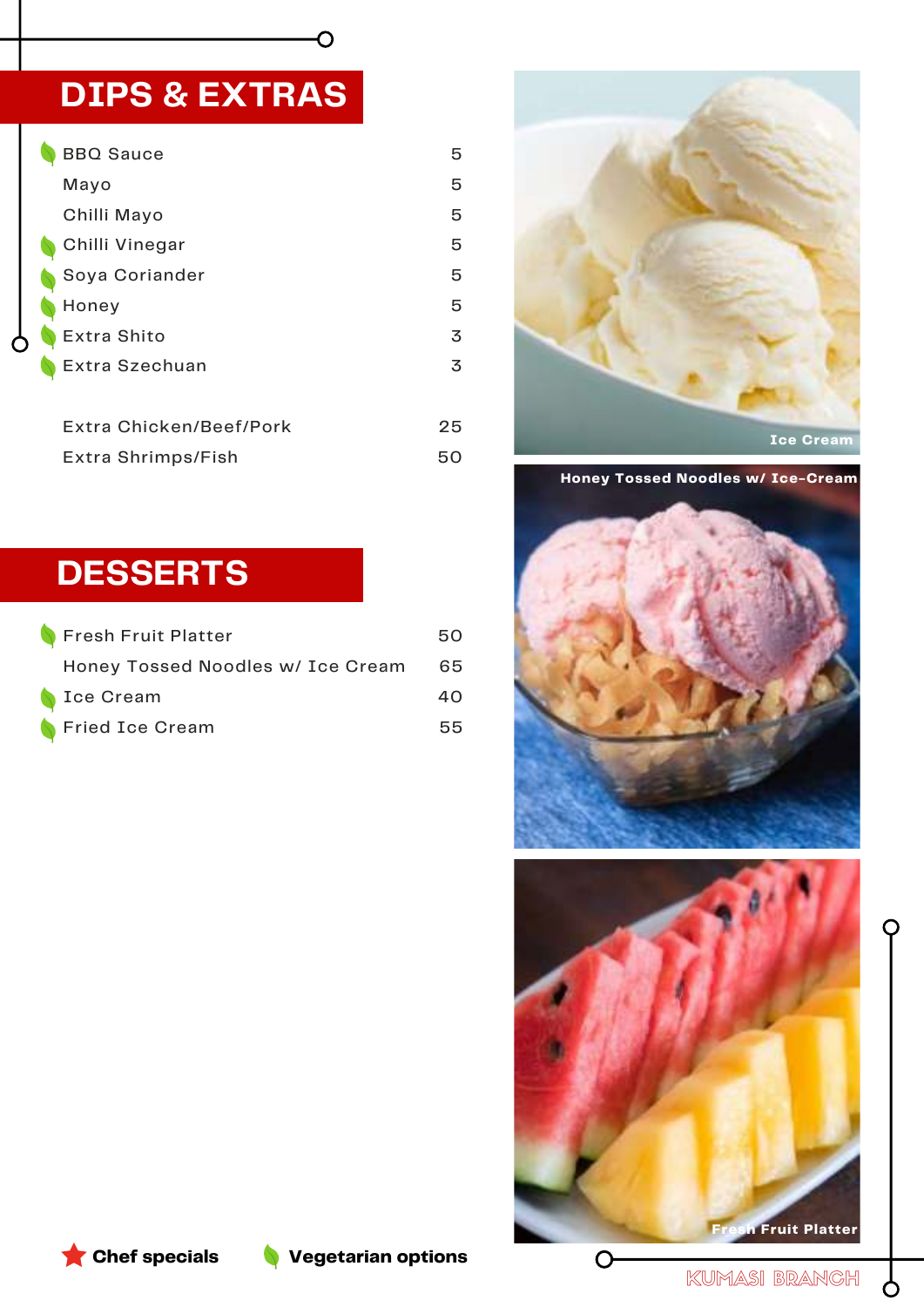# **DIPS & EXTRAS**

| <b>BBQ Sauce</b>        | 5  |
|-------------------------|----|
| Mayo                    | 5  |
| Chilli Mayo             | 5  |
| Chilli Vinegar          | 5  |
| Soya Coriander          | 5  |
| Honey                   | 5  |
| Extra Shito             | 3  |
| Extra Szechuan          | 3  |
|                         |    |
| Extra Chicken/Beef/Pork | 25 |
| Extra Shrimps/Fish      | 50 |

 $\overline{\mathsf{C}}$ 

# **DESSERTS**

| Fresh Fruit Platter               | 50. |
|-----------------------------------|-----|
| Honey Tossed Noodles w/ Ice Cream | -65 |
| Sce Cream                         | 40. |
| Fried Ice Cream                   | 55. |



**Honey Tossed Noodles w/ Ice-Cream**







KUMASI BRANCH

 $\mathsf{\mathcal{S}}$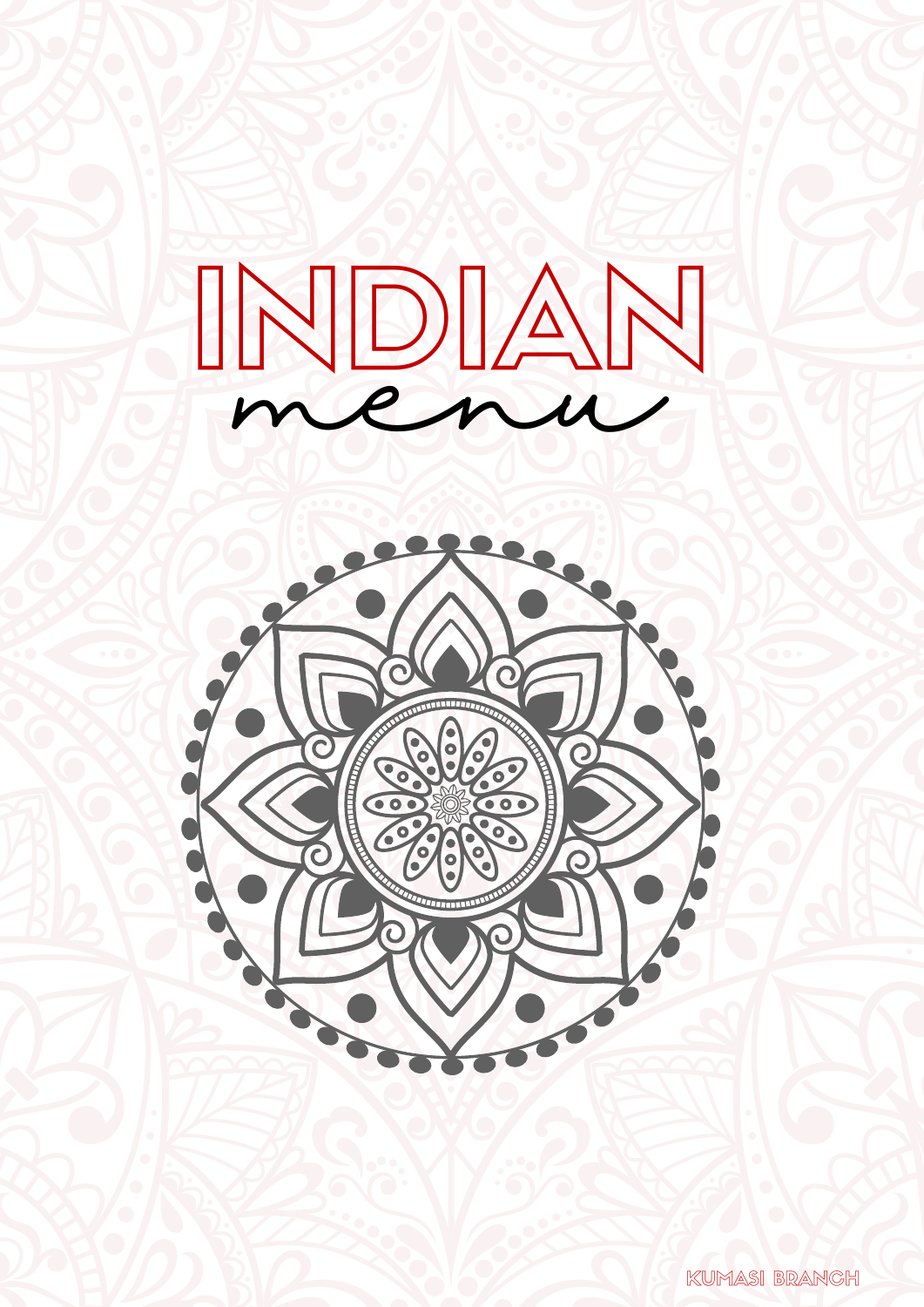



KUMASI BRANCH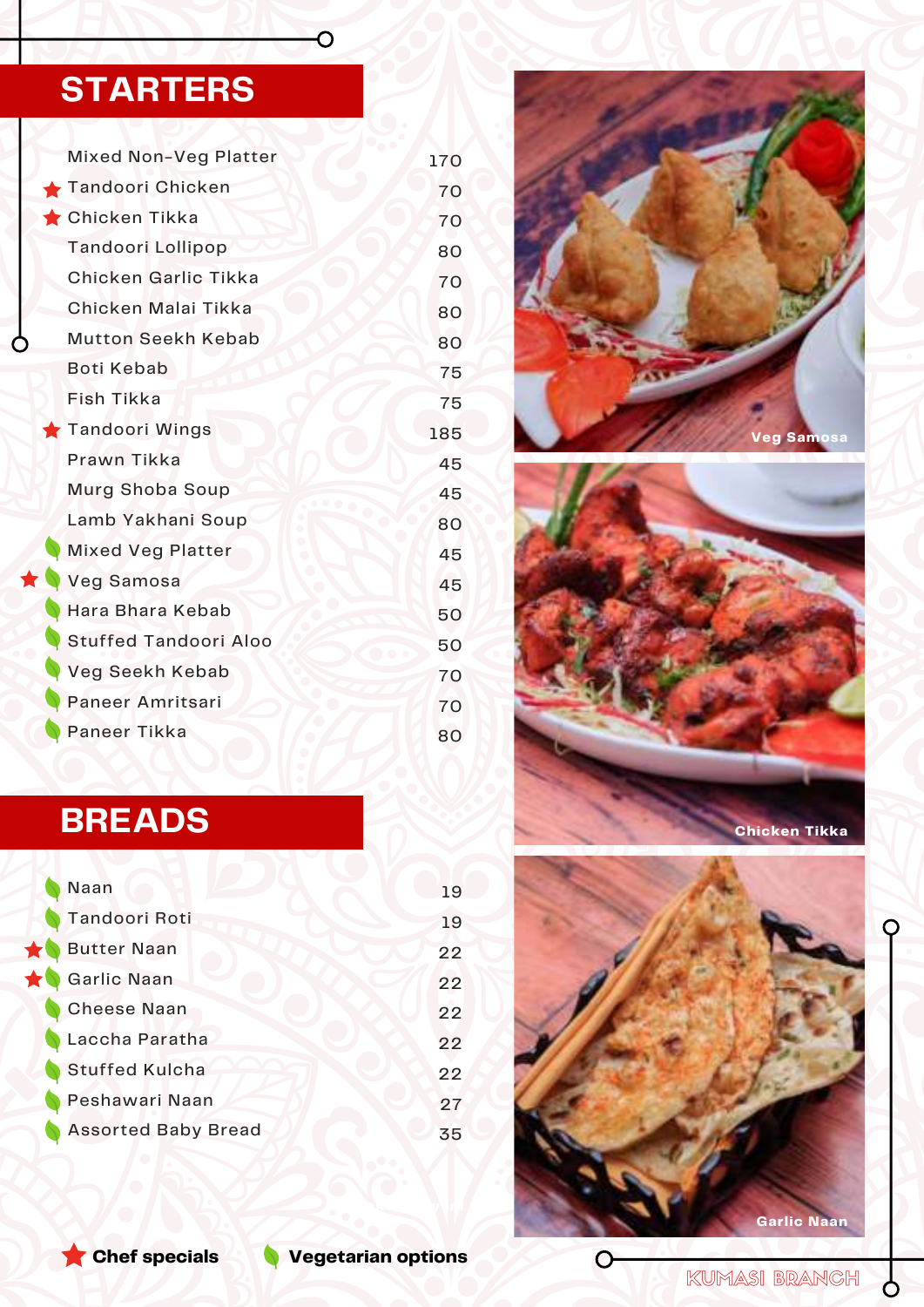# **STARTERS**

| <b>Mixed Non-Veg Platter</b> | 170 |
|------------------------------|-----|
| Tandoori Chicken             | 70  |
| Chicken Tikka                | 70  |
| Tandoori Lollipop            | 80  |
| Chicken Garlic Tikka         | 70  |
| Chicken Malai Tikka          | 80  |
| <b>Mutton Seekh Kebab</b>    | 80  |
| <b>Boti Kebab</b>            | 75  |
| Fish Tikka                   | 75  |
| Tandoori Wings               | 185 |
| Prawn Tikka                  | 45  |
| Murg Shoba Soup              | 45  |
| Lamb Yakhani Soup            | 80  |
| <b>Mixed Veg Platter</b>     | 45  |
| <b>Veg Samosa</b>            | 45  |
| Hara Bhara Kebab             | 50  |
| <b>Stuffed Tandoori Aloo</b> | 50  |
| Veg Seekh Kebab              | 70  |
| Paneer Amritsari             | 70  |
| Paneer Tikka                 | 80  |

 $\overline{O}$ 

# **Veg Samosa**



# **BREADS**

| Naan                       | 19 |
|----------------------------|----|
| Tandoori Roti              | 19 |
| <b>Butter Naan</b>         | 22 |
| Garlic Naan                | 22 |
| <b>Cheese Naan</b>         | 22 |
| Laccha Paratha             | 22 |
| <b>Stuffed Kulcha</b>      | 22 |
| Peshawari Naan             | 27 |
| <b>Assorted Baby Bread</b> | 35 |
|                            |    |



 $\mathbf O$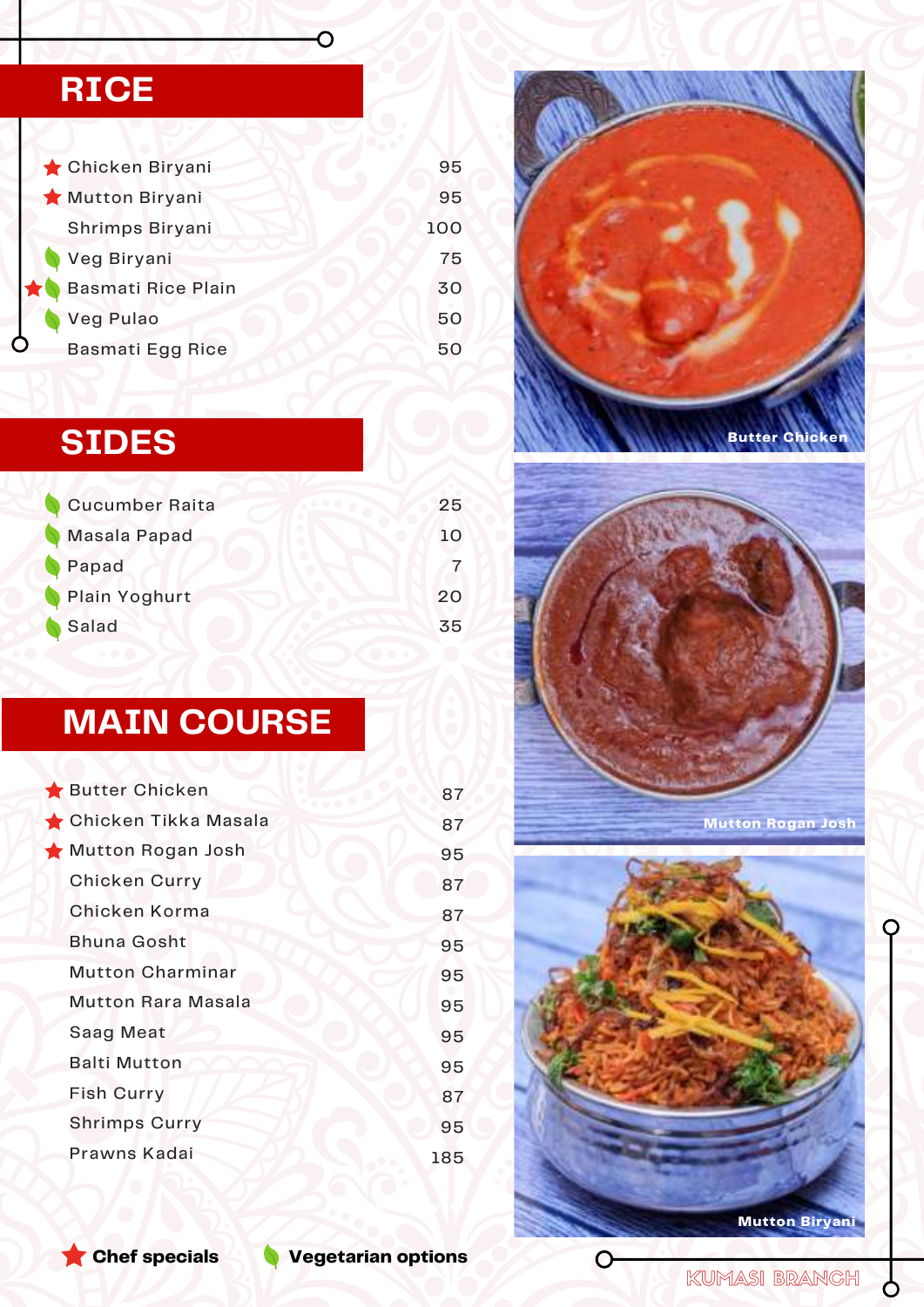# **RICE**

| Chicken Biryani           | 95  |
|---------------------------|-----|
| Mutton Biryani            | 95  |
| Shrimps Biryani           | 100 |
| Veg Biryani               | 75  |
| <b>Basmati Rice Plain</b> | 30  |
| Veg Pulao                 | 50  |
| <b>Basmati Egg Rice</b>   | 50  |

 $\overline{\mathsf{O}}$ 

# **SIDES**

| <b>Cucumber Raita</b> | 25 |
|-----------------------|----|
| Masala Papad          | 10 |
| Papad                 |    |
| Plain Yoghurt         | 20 |
| Salad                 | 35 |

# **MAIN COURSE**

| Butter Chicken            | 87  |
|---------------------------|-----|
| Chicken Tikka Masala      | 87  |
| Mutton Rogan Josh         | 95  |
| <b>Chicken Curry</b>      | 87  |
| Chicken Korma             | 87  |
| <b>Bhuna Gosht</b>        | 95  |
| <b>Mutton Charminar</b>   | 95  |
| <b>Mutton Rara Masala</b> | 95  |
| <b>Saag Meat</b>          | 95  |
| <b>Balti Mutton</b>       | 95  |
| <b>Fish Curry</b>         | 87  |
| <b>Shrimps Curry</b>      | 95  |
| Prawns Kadai              | 185 |
|                           |     |





**Mutton Rogan Josh**



 $\mathbf C$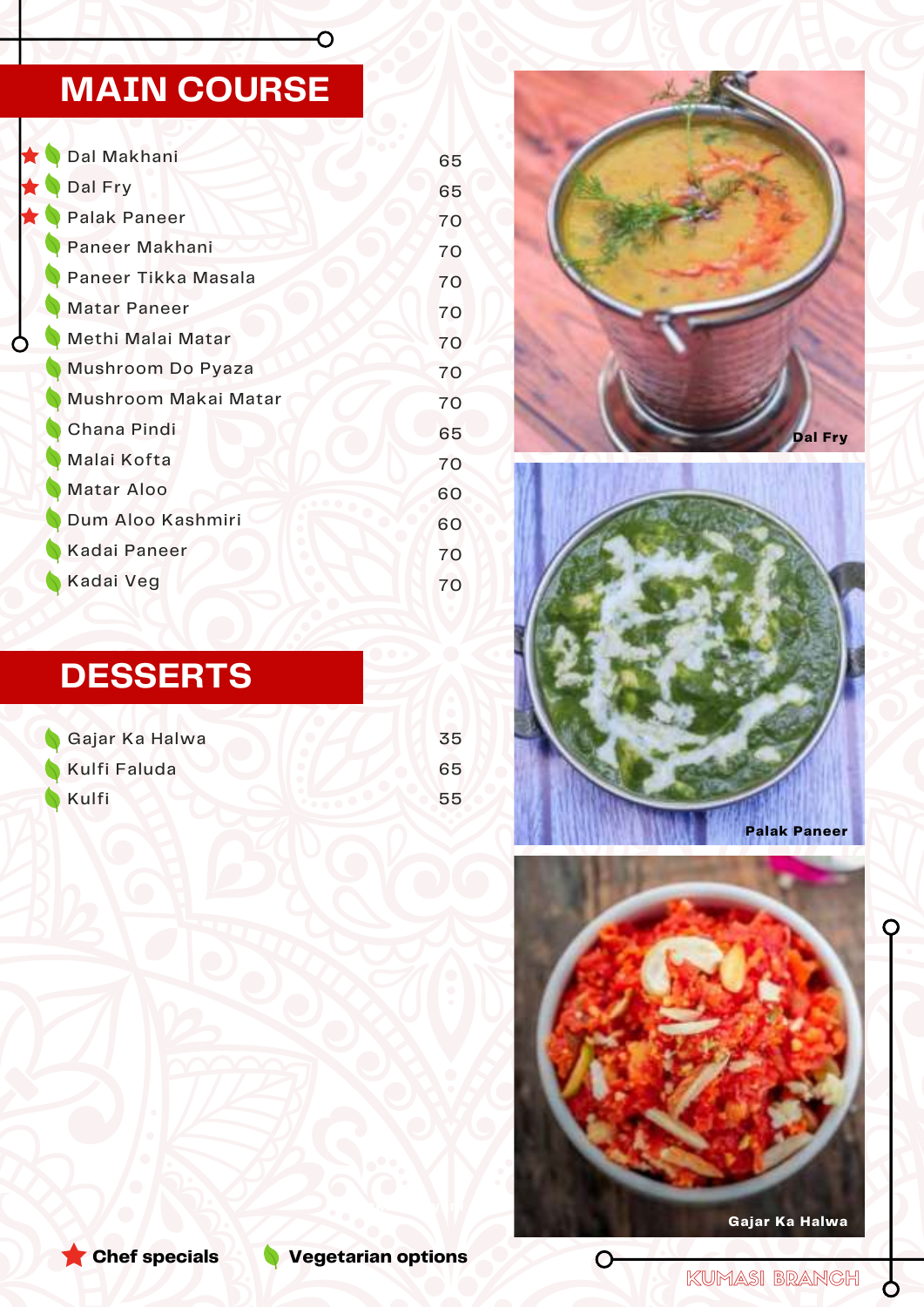# **MAIN COURSE**

 $\overline{O}$ 

| Dal Makhani          | 65 |
|----------------------|----|
| Dal Fry              | 65 |
| <b>Palak Paneer</b>  | 70 |
| Paneer Makhani       | 70 |
| Paneer Tikka Masala  | 70 |
| <b>Matar Paneer</b>  | 70 |
| Methi Malai Matar    | 70 |
| Mushroom Do Pyaza    | 70 |
| Mushroom Makai Matar | 70 |
| Chana Pindi          | 65 |
| Malai Kofta          | 70 |
| Matar Aloo           | 60 |
| Dum Aloo Kashmiri    | 60 |
| Kadai Paneer         | 70 |
| Kadai Veg            | 70 |

# **DESSERTS**

| Gajar Ka Halwa | 35 |
|----------------|----|
| Kulfi Faluda   | 65 |
| <b>Kulfi</b>   | 55 |









KUMASI BRANCH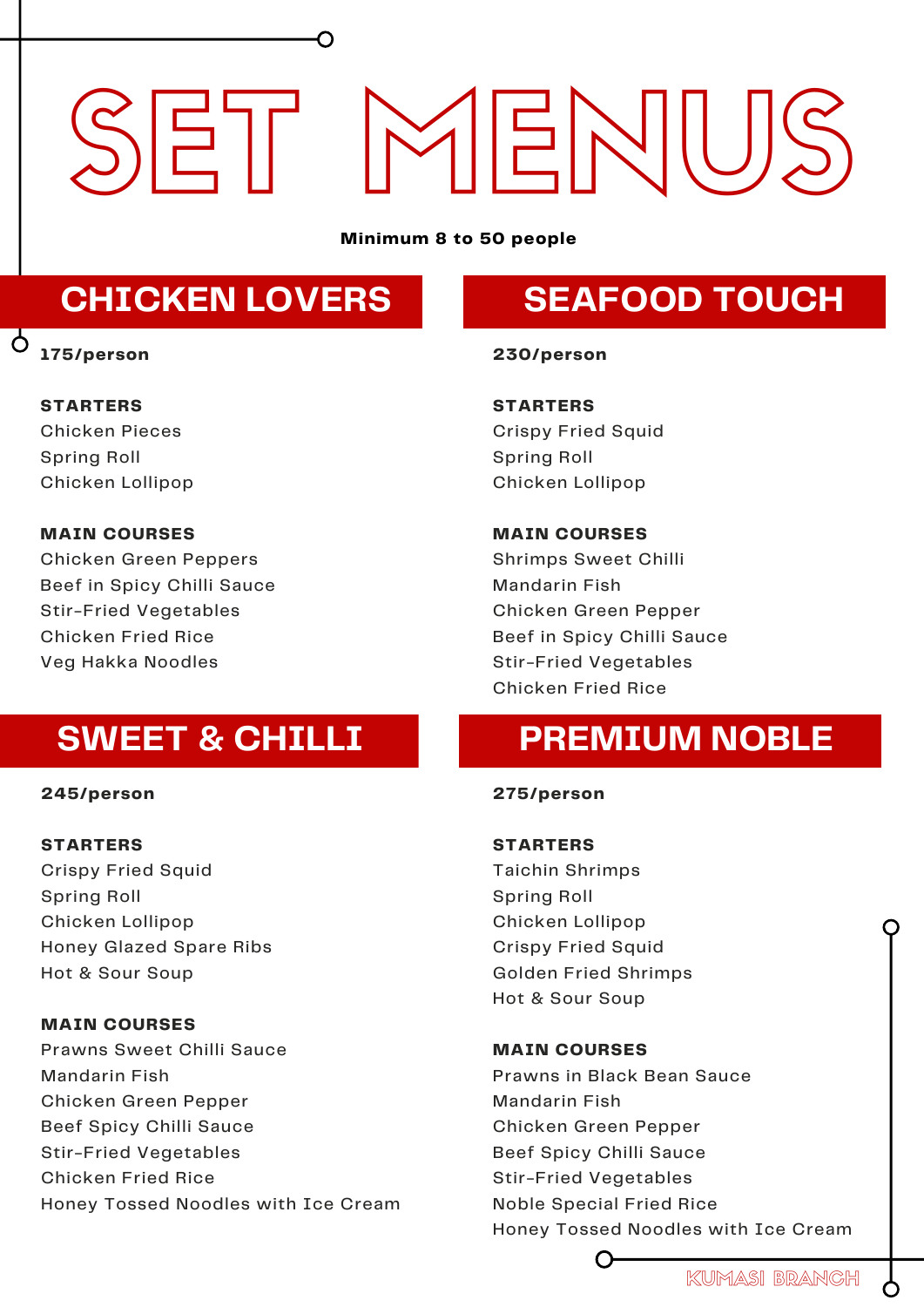# SET MENIU

**Minimum 8 to 50 people**

# **CHICKEN LOVERS**

#### **175/person**

 $\Delta$ 

# **SEAFOOD TOUCH**

#### **STARTERS**

Chicken Pieces Spring Roll Chicken Lollipop

#### **MAIN COURSES**

Chicken Green Peppers Beef in Spicy Chilli Sauce Stir-Fried Vegetables Chicken Fried Rice Veg Hakka Noodles

# **SWEET & CHILLI**

#### **245/person**

#### **STARTERS**

Crispy Fried Squid Spring Roll Chicken Lollipop Honey Glazed Spare Ribs Hot & Sour Soup

#### **MAIN COURSES**

Prawns Sweet Chilli Sauce Mandarin Fish Chicken Green Pepper Beef Spicy Chilli Sauce Stir-Fried Vegetables Chicken Fried Rice Honey Tossed Noodles with Ice Cream

#### **230/person**

**STARTERS** Crispy Fried Squid Spring Roll Chicken Lollipop

#### **MAIN COURSES**

Shrimps Sweet Chilli Mandarin Fish Chicken Green Pepper Beef in Spicy Chilli Sauce Stir-Fried Vegetables Chicken Fried Rice

# **PREMIUM NOBLE**

#### **275/person**

## **STARTERS**

Taichin Shrimps Spring Roll Chicken Lollipop Crispy Fried Squid Golden Fried Shrimps Hot & Sour Soup

#### **MAIN COURSES**

Prawns in Black Bean Sauce Mandarin Fish Chicken Green Pepper Beef Spicy Chilli Sauce Stir-Fried Vegetables Noble Special Fried Rice Honey Tossed Noodles with Ice Cream

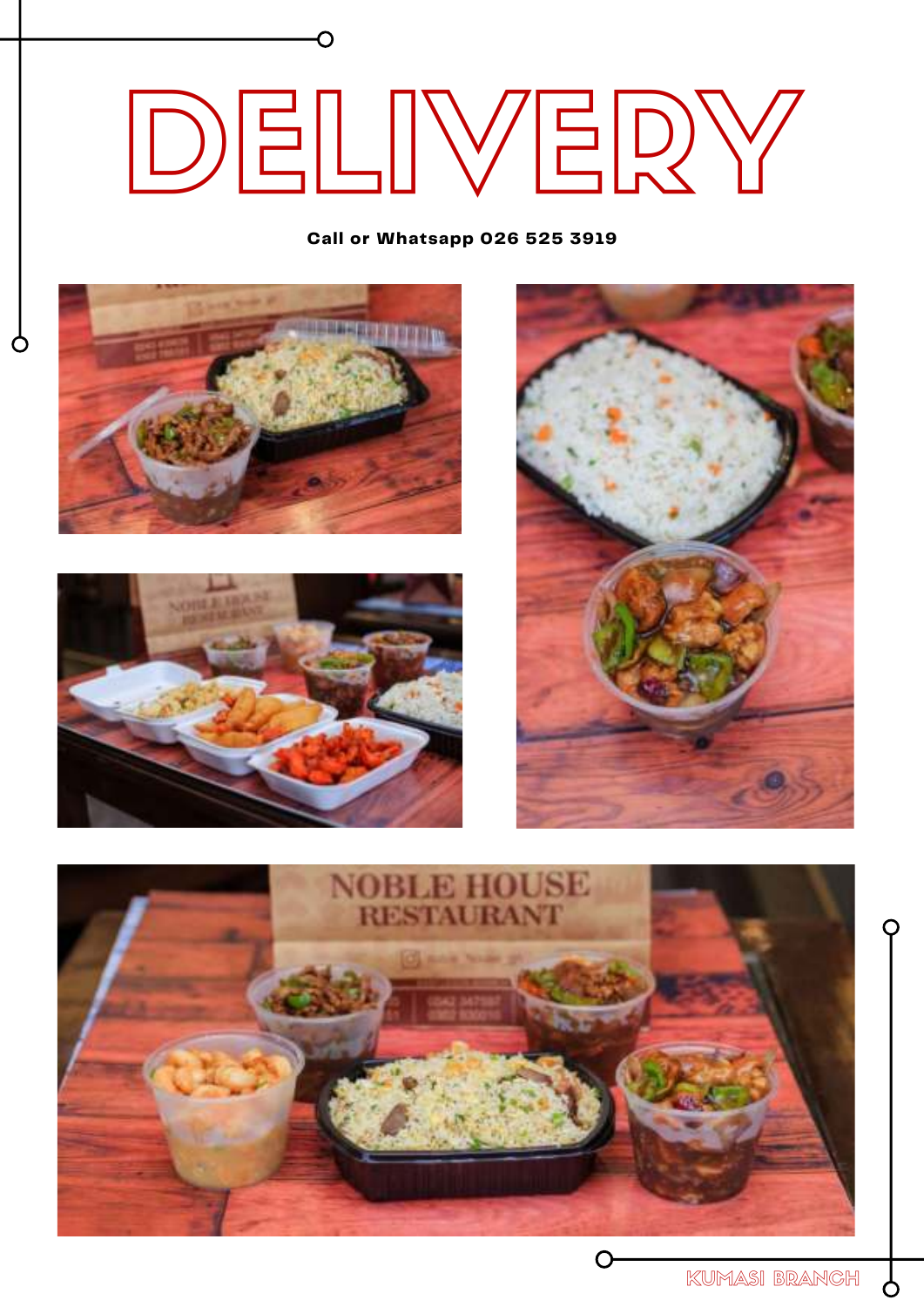# DELIVERY

**Call or Whatsapp [026 525 3919](tel:+233322035092)**



O





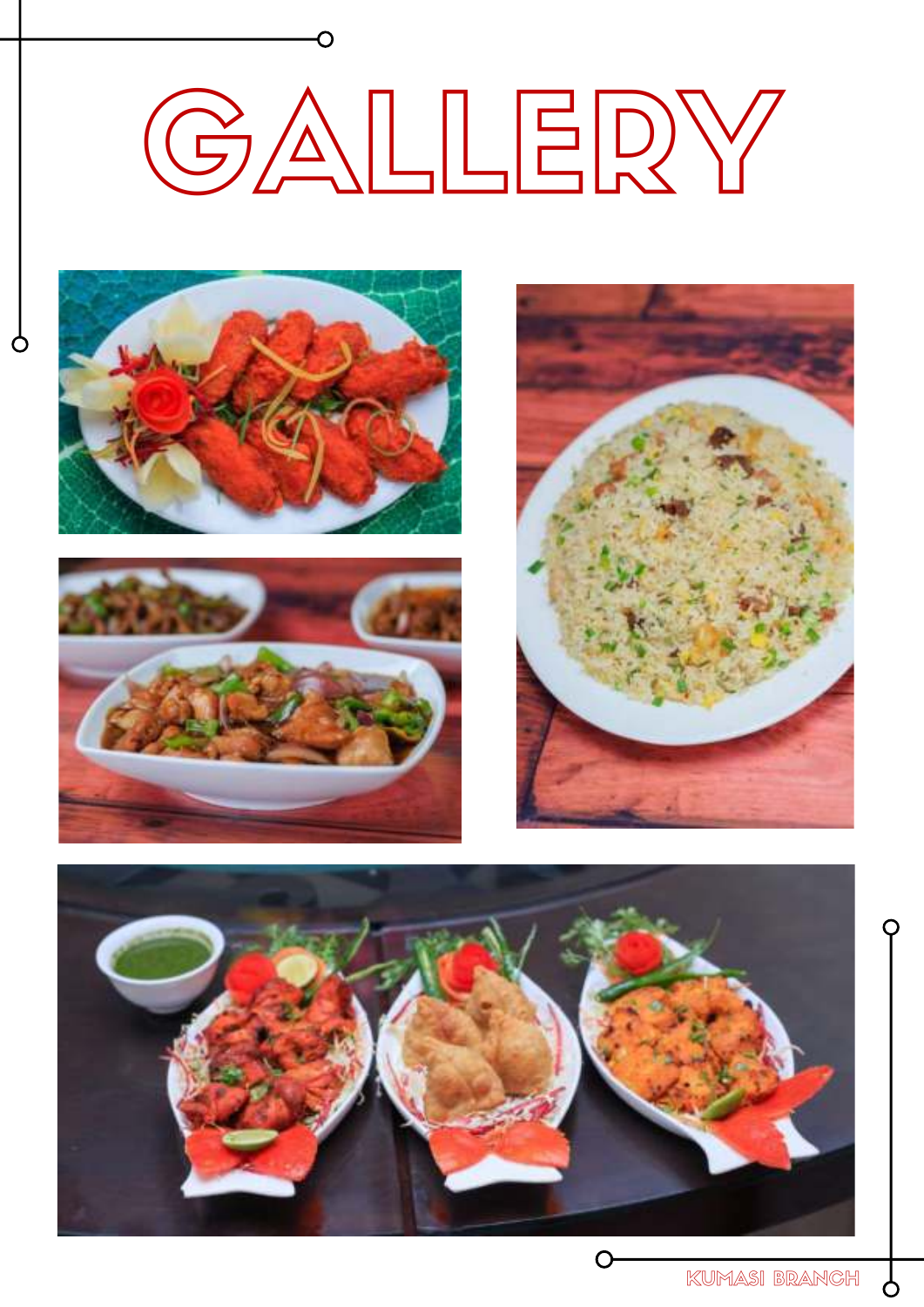# GALLERY



 $\circ$ 







Ò

C